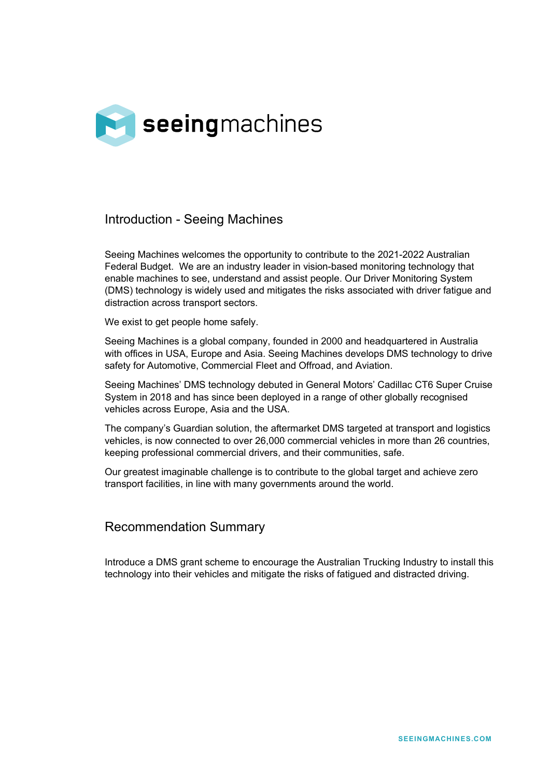

### Introduction - Seeing Machines

Seeing Machines welcomes the opportunity to contribute to the 2021-2022 Australian Federal Budget. We are an industry leader in vision-based monitoring technology that enable machines to see, understand and assist people. Our Driver Monitoring System (DMS) technology is widely used and mitigates the risks associated with driver fatigue and distraction across transport sectors.

We exist to get people home safely.

Seeing Machines is a global company, founded in 2000 and headquartered in Australia with offices in USA, Europe and Asia. Seeing Machines develops DMS technology to drive safety for Automotive, Commercial Fleet and Offroad, and Aviation.

Seeing Machines' DMS technology debuted in General Motors' Cadillac CT6 Super Cruise System in 2018 and has since been deployed in a range of other globally recognised vehicles across Europe, Asia and the USA.

The company's Guardian solution, the aftermarket DMS targeted at transport and logistics vehicles, is now connected to over 26,000 commercial vehicles in more than 26 countries, keeping professional commercial drivers, and their communities, safe.

Our greatest imaginable challenge is to contribute to the global target and achieve zero transport facilities, in line with many governments around the world.

#### Recommendation Summary

Introduce a DMS grant scheme to encourage the Australian Trucking Industry to install this technology into their vehicles and mitigate the risks of fatigued and distracted driving.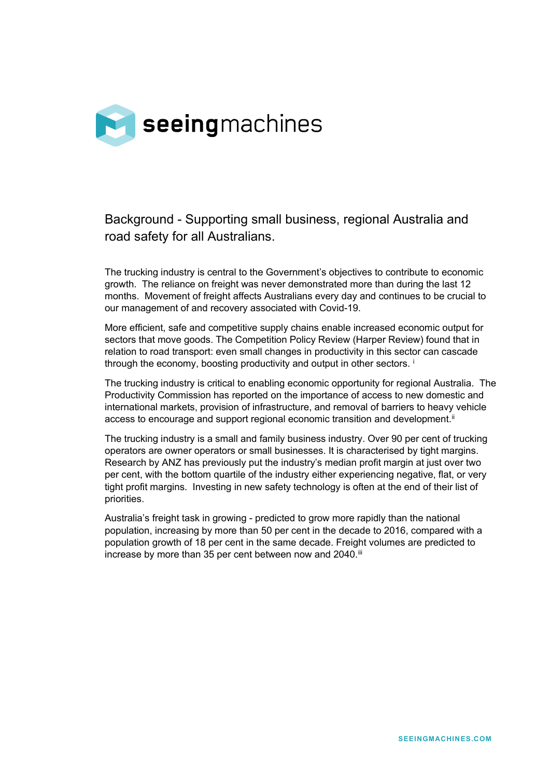

# Background - Supporting small business, regional Australia and road safety for all Australians.

The trucking industry is central to the Government's objectives to contribute to economic growth. The reliance on freight was never demonstrated more than during the last 12 months. Movement of freight affects Australians every day and continues to be crucial to our management of and recovery associated with Covid-19.

More efficient, safe and competitive supply chains enable increased economic output for sectors that move goods. The Competition Policy Review (Harper Review) found that in relation to road transport: even small changes in productivity in this sector can cascade through the economy, boosting productivity and output [i](#page-5-0)n other sectors. <sup>i</sup>

The trucking industry is critical to enabling economic opportunity for regional Australia. The Productivity Commission has reported on the importance of access to new domestic and international markets, provision of infrastructure, and removal of barriers to heavy vehicle access to encourage and support regional economic transition and development.<sup>[ii](#page-5-1)</sup>

The trucking industry is a small and family business industry. Over 90 per cent of trucking operators are owner operators or small businesses. It is characterised by tight margins. Research by ANZ has previously put the industry's median profit margin at just over two per cent, with the bottom quartile of the industry either experiencing negative, flat, or very tight profit margins. Investing in new safety technology is often at the end of their list of priorities.

Australia's freight task in growing - predicted to grow more rapidly than the national population, increasing by more than 50 per cent in the decade to 2016, compared with a population growth of 18 per cent in the same decade. Freight volumes are predicted to increase by more than 35 per cent between now and 2040.<sup>[iii](#page-5-2)</sup>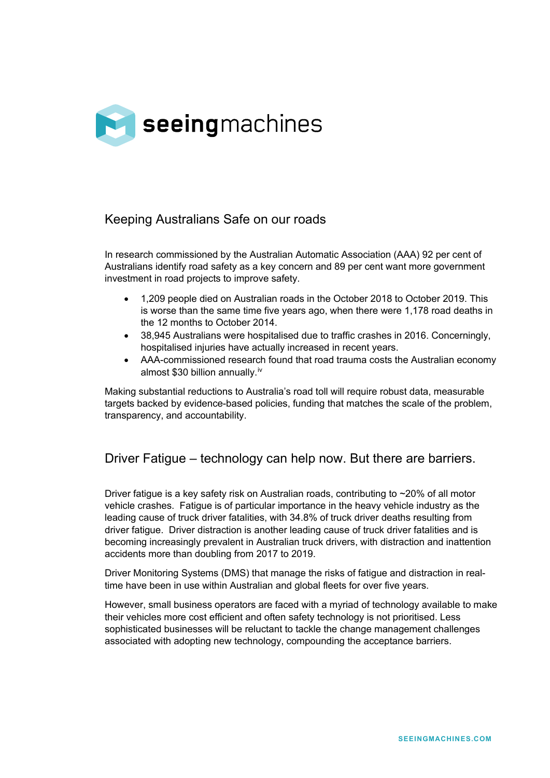

### Keeping Australians Safe on our roads

In research commissioned by the Australian Automatic Association (AAA) 92 per cent of Australians identify road safety as a key concern and 89 per cent want more government investment in road projects to improve safety.

- 1,209 people died on Australian roads in the October 2018 to October 2019. This is worse than the same time five years ago, when there were 1,178 road deaths in the 12 months to October 2014.
- 38,945 Australians were hospitalised due to traffic crashes in 2016. Concerningly, hospitalised injuries have actually increased in recent years.
- AAA-commissioned research found that road trauma costs the Australian economy almost \$30 billion annually.[iv](#page-5-3)

Making substantial reductions to Australia's road toll will require robust data, measurable targets backed by evidence-based policies, funding that matches the scale of the problem, transparency, and accountability.

## Driver Fatigue – technology can help now. But there are barriers.

Driver fatigue is a key safety risk on Australian roads, contributing to ~20% of all motor vehicle crashes. Fatigue is of particular importance in the heavy vehicle industry as the leading cause of truck driver fatalities, with 34.8% of truck driver deaths resulting from driver fatigue. Driver distraction is another leading cause of truck driver fatalities and is becoming increasingly prevalent in Australian truck drivers, with distraction and inattention accidents more than doubling from 2017 to 2019.

Driver Monitoring Systems (DMS) that manage the risks of fatigue and distraction in realtime have been in use within Australian and global fleets for over five years.

However, small business operators are faced with a myriad of technology available to make their vehicles more cost efficient and often safety technology is not prioritised. Less sophisticated businesses will be reluctant to tackle the change management challenges associated with adopting new technology, compounding the acceptance barriers.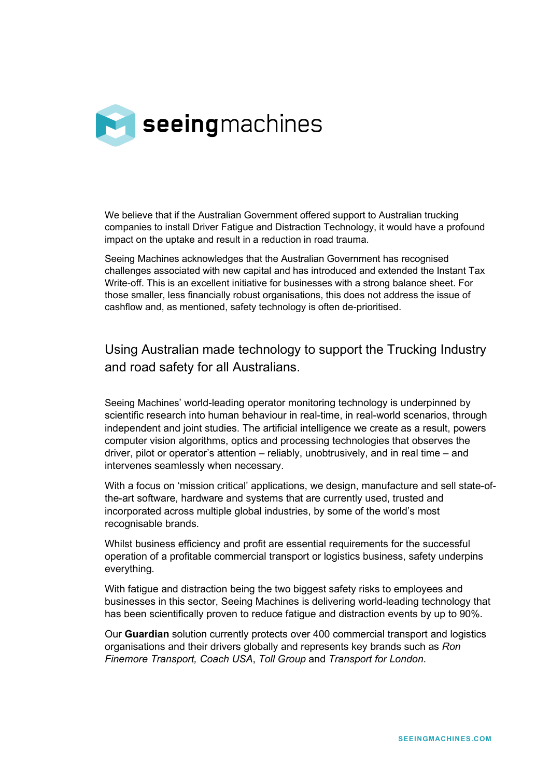

We believe that if the Australian Government offered support to Australian trucking companies to install Driver Fatigue and Distraction Technology, it would have a profound impact on the uptake and result in a reduction in road trauma.

Seeing Machines acknowledges that the Australian Government has recognised challenges associated with new capital and has introduced and extended the Instant Tax Write-off. This is an excellent initiative for businesses with a strong balance sheet. For those smaller, less financially robust organisations, this does not address the issue of cashflow and, as mentioned, safety technology is often de-prioritised.

Using Australian made technology to support the Trucking Industry and road safety for all Australians.

Seeing Machines' world-leading operator monitoring technology is underpinned by scientific research into human behaviour in real-time, in real-world scenarios, through independent and joint studies. The artificial intelligence we create as a result, powers computer vision algorithms, optics and processing technologies that observes the driver, pilot or operator's attention – reliably, unobtrusively, and in real time – and intervenes seamlessly when necessary.

With a focus on 'mission critical' applications, we design, manufacture and sell state-ofthe-art software, hardware and systems that are currently used, trusted and incorporated across multiple global industries, by some of the world's most recognisable brands.

Whilst business efficiency and profit are essential requirements for the successful operation of a profitable commercial transport or logistics business, safety underpins everything.

With fatigue and distraction being the two biggest safety risks to employees and businesses in this sector, Seeing Machines is delivering world-leading technology that has been scientifically proven to reduce fatigue and distraction events by up to 90%.

Our **Guardian** solution currently protects over 400 commercial transport and logistics organisations and their drivers globally and represents key brands such as *Ron Finemore Transport, Coach USA*, *Toll Group* and *Transport for London*.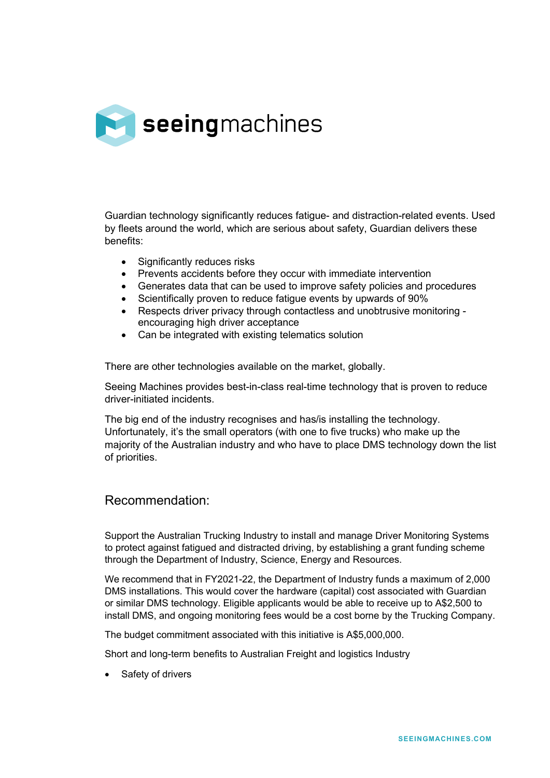

Guardian technology significantly reduces fatigue- and distraction-related events. Used by fleets around the world, which are serious about safety, Guardian delivers these benefits:

- Significantly reduces risks
- Prevents accidents before they occur with immediate intervention
- Generates data that can be used to improve safety policies and procedures
- Scientifically proven to reduce fatigue events by upwards of 90%
- Respects driver privacy through contactless and unobtrusive monitoring encouraging high driver acceptance
- Can be integrated with existing telematics solution

There are other technologies available on the market, globally.

Seeing Machines provides best-in-class real-time technology that is proven to reduce driver-initiated incidents.

The big end of the industry recognises and has/is installing the technology. Unfortunately, it's the small operators (with one to five trucks) who make up the majority of the Australian industry and who have to place DMS technology down the list of priorities.

#### Recommendation:

Support the Australian Trucking Industry to install and manage Driver Monitoring Systems to protect against fatigued and distracted driving, by establishing a grant funding scheme through the Department of Industry, Science, Energy and Resources.

We recommend that in FY2021-22, the Department of Industry funds a maximum of 2,000 DMS installations. This would cover the hardware (capital) cost associated with Guardian or similar DMS technology. Eligible applicants would be able to receive up to A\$2,500 to install DMS, and ongoing monitoring fees would be a cost borne by the Trucking Company.

The budget commitment associated with this initiative is A\$5,000,000.

Short and long-term benefits to Australian Freight and logistics Industry

• Safety of drivers